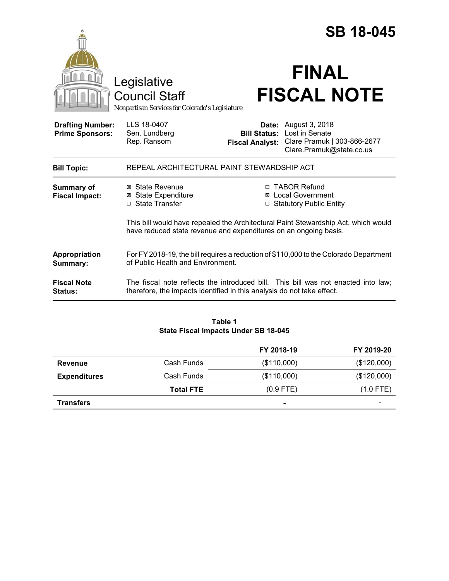|                                                   |                                                                                                                                                             |                                                        | <b>SB 18-045</b>                                                                                                                                                  |  |
|---------------------------------------------------|-------------------------------------------------------------------------------------------------------------------------------------------------------------|--------------------------------------------------------|-------------------------------------------------------------------------------------------------------------------------------------------------------------------|--|
|                                                   | Legislative<br><b>Council Staff</b><br>Nonpartisan Services for Colorado's Legislature                                                                      |                                                        | <b>FINAL</b><br><b>FISCAL NOTE</b>                                                                                                                                |  |
| <b>Drafting Number:</b><br><b>Prime Sponsors:</b> | LLS 18-0407<br>Sen. Lundberg<br>Rep. Ransom                                                                                                                 | Date:<br><b>Bill Status:</b><br><b>Fiscal Analyst:</b> | August 3, 2018<br>Lost in Senate<br>Clare Pramuk   303-866-2677<br>Clare.Pramuk@state.co.us                                                                       |  |
| <b>Bill Topic:</b>                                | REPEAL ARCHITECTURAL PAINT STEWARDSHIP ACT                                                                                                                  |                                                        |                                                                                                                                                                   |  |
| <b>Summary of</b><br><b>Fiscal Impact:</b>        | ⊠ State Revenue<br><b>⊠ State Expenditure</b><br>□ State Transfer                                                                                           | ⊠<br>$\Box$                                            | □ TABOR Refund<br><b>Local Government</b><br><b>Statutory Public Entity</b><br>This bill would have repealed the Architectural Paint Stewardship Act, which would |  |
|                                                   | have reduced state revenue and expenditures on an ongoing basis.                                                                                            |                                                        |                                                                                                                                                                   |  |
| Appropriation<br>Summary:                         | For FY 2018-19, the bill requires a reduction of \$110,000 to the Colorado Department<br>of Public Health and Environment.                                  |                                                        |                                                                                                                                                                   |  |
| <b>Fiscal Note</b><br>Status:                     | The fiscal note reflects the introduced bill. This bill was not enacted into law:<br>therefore, the impacts identified in this analysis do not take effect. |                                                        |                                                                                                                                                                   |  |

#### **Table 1 State Fiscal Impacts Under SB 18-045**

|                     |                  | FY 2018-19               | FY 2019-20  |
|---------------------|------------------|--------------------------|-------------|
| <b>Revenue</b>      | Cash Funds       | (\$110,000)              | (\$120,000) |
| <b>Expenditures</b> | Cash Funds       | (\$110,000)              | (\$120,000) |
|                     | <b>Total FTE</b> | $(0.9$ FTE)              | $(1.0$ FTE) |
| <b>Transfers</b>    |                  | $\overline{\phantom{0}}$ |             |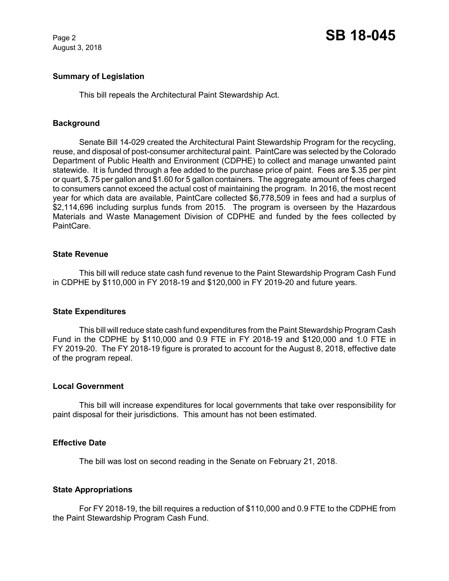August 3, 2018

## **Summary of Legislation**

This bill repeals the Architectural Paint Stewardship Act.

## **Background**

Senate Bill 14-029 created the Architectural Paint Stewardship Program for the recycling, reuse, and disposal of post-consumer architectural paint. PaintCare was selected by the Colorado Department of Public Health and Environment (CDPHE) to collect and manage unwanted paint statewide. It is funded through a fee added to the purchase price of paint. Fees are \$.35 per pint or quart, \$.75 per gallon and \$1.60 for 5 gallon containers. The aggregate amount of fees charged to consumers cannot exceed the actual cost of maintaining the program. In 2016, the most recent year for which data are available, PaintCare collected \$6,778,509 in fees and had a surplus of \$2,114,696 including surplus funds from 2015. The program is overseen by the Hazardous Materials and Waste Management Division of CDPHE and funded by the fees collected by PaintCare.

### **State Revenue**

This bill will reduce state cash fund revenue to the Paint Stewardship Program Cash Fund in CDPHE by \$110,000 in FY 2018-19 and \$120,000 in FY 2019-20 and future years.

### **State Expenditures**

This bill will reduce state cash fund expenditures from the Paint Stewardship Program Cash Fund in the CDPHE by \$110,000 and 0.9 FTE in FY 2018-19 and \$120,000 and 1.0 FTE in FY 2019-20. The FY 2018-19 figure is prorated to account for the August 8, 2018, effective date of the program repeal.

### **Local Government**

This bill will increase expenditures for local governments that take over responsibility for paint disposal for their jurisdictions. This amount has not been estimated.

### **Effective Date**

The bill was lost on second reading in the Senate on February 21, 2018.

### **State Appropriations**

For FY 2018-19, the bill requires a reduction of \$110,000 and 0.9 FTE to the CDPHE from the Paint Stewardship Program Cash Fund.